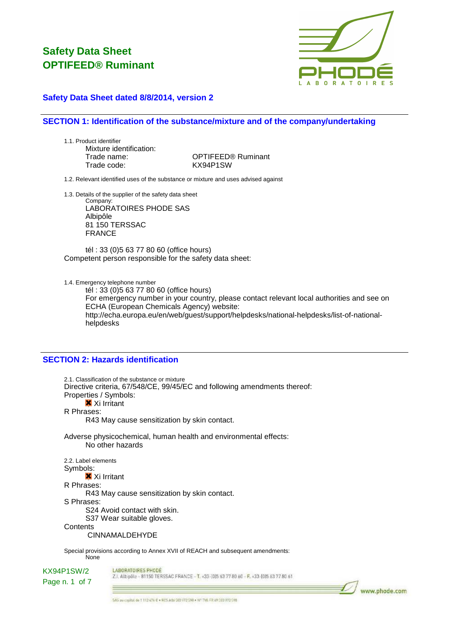

### **Safety Data Sheet dated 8/8/2014, version 2**

#### **SECTION 1: Identification of the substance/mixture and of the company/undertaking**

1.1. Product identifier Mixture identification: Trade code: KX94P1SW

Trade name: OPTIFEED® Ruminant

1.2. Relevant identified uses of the substance or mixture and uses advised against

1.3. Details of the supplier of the safety data sheet

Company: LABORATOIRES PHODE SAS Albipôle 81 150 TERSSAC FRANCE

tél : 33 (0)5 63 77 80 60 (office hours) Competent person responsible for the safety data sheet:

1.4. Emergency telephone number

tél : 33 (0)5 63 77 80 60 (office hours) For emergency number in your country, please contact relevant local authorities and see on ECHA (European Chemicals Agency) website: http://echa.europa.eu/en/web/guest/support/helpdesks/national-helpdesks/list-of-nationalhelpdesks

### **SECTION 2: Hazards identification**

2.1. Classification of the substance or mixture Directive criteria, 67/548/CE, 99/45/EC and following amendments thereof: Properties / Symbols: **X** Xi Irritant R Phrases: R43 May cause sensitization by skin contact.

Adverse physicochemical, human health and environmental effects: No other hazards

2.2. Label elements Symbols: **X** Xi Irritant R Phrases: R43 May cause sensitization by skin contact. S Phrases: S24 Avoid contact with skin. S37 Wear suitable gloves. **Contents** 

CINNAMALDEHYDE

LABORATOIRES PHODE

Special provisions according to Annex XVII of REACH and subsequent amendments: None

KX94P1SW/2

Z.I. Albipôle - 81150 TERSSAC FRANCE - T. +33-(0)5 63 77 80 60 - F. +33-(0)5 63 77 80 61

Page n. 1 of 7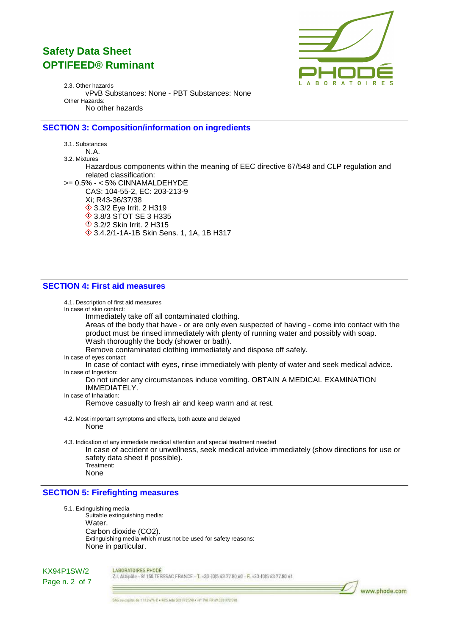

2.3. Other hazards vPvB Substances: None - PBT Substances: None Other Hazards: No other hazards

#### **SECTION 3: Composition/information on ingredients**

3.1. Substances N.A. 3.2. Mixtures Hazardous components within the meaning of EEC directive 67/548 and CLP regulation and related classification: >= 0.5% - < 5% CINNAMALDEHYDE CAS: 104-55-2, EC: 203-213-9 Xi; R43-36/37/38 **♦ 3.3/2 Eye Irrit. 2 H319 ♦ 3.8/3 STOT SE 3 H335 ♦ 3.2/2 Skin Irrit. 2 H315** 3.4.2/1-1A-1B Skin Sens. 1, 1A, 1B H317

#### **SECTION 4: First aid measures**

4.1. Description of first aid measures

In case of skin contact:

Immediately take off all contaminated clothing.

Areas of the body that have - or are only even suspected of having - come into contact with the product must be rinsed immediately with plenty of running water and possibly with soap. Wash thoroughly the body (shower or bath).

Remove contaminated clothing immediately and dispose off safely.

In case of eyes contact:

In case of contact with eyes, rinse immediately with plenty of water and seek medical advice. In case of Ingestion:

Do not under any circumstances induce vomiting. OBTAIN A MEDICAL EXAMINATION IMMEDIATELY.

In case of Inhalation:

Remove casualty to fresh air and keep warm and at rest.

- 4.2. Most important symptoms and effects, both acute and delayed None
- 4.3. Indication of any immediate medical attention and special treatment needed

In case of accident or unwellness, seek medical advice immediately (show directions for use or safety data sheet if possible). Treatment: **None** 

### **SECTION 5: Firefighting measures**

5.1. Extinguishing media Suitable extinguishing media: Water. Carbon dioxide (CO2). Extinguishing media which must not be used for safety reasons: None in particular.



LABORATOIRES PHODE Z.I. Albipôle - 81150 TERSSAC FRANCE - T. +33-(0)5 63 77 80 60 - F. +33-(0)5 63 77 80 61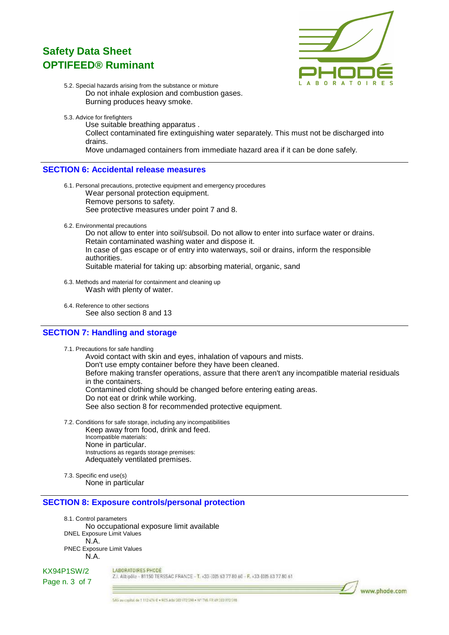

- 5.2. Special hazards arising from the substance or mixture Do not inhale explosion and combustion gases. Burning produces heavy smoke.
- 5.3. Advice for firefighters
	- Use suitable breathing apparatus .

Collect contaminated fire extinguishing water separately. This must not be discharged into drains.

Move undamaged containers from immediate hazard area if it can be done safely.

#### **SECTION 6: Accidental release measures**

6.1. Personal precautions, protective equipment and emergency procedures Wear personal protection equipment. Remove persons to safety.

See protective measures under point 7 and 8.

6.2. Environmental precautions

Do not allow to enter into soil/subsoil. Do not allow to enter into surface water or drains. Retain contaminated washing water and dispose it. In case of gas escape or of entry into waterways, soil or drains, inform the responsible authorities.

Suitable material for taking up: absorbing material, organic, sand

- 6.3. Methods and material for containment and cleaning up Wash with plenty of water.
- 6.4. Reference to other sections See also section 8 and 13

### **SECTION 7: Handling and storage**

7.1. Precautions for safe handling Avoid contact with skin and eyes, inhalation of vapours and mists. Don't use empty container before they have been cleaned. Before making transfer operations, assure that there aren't any incompatible material residuals in the containers. Contamined clothing should be changed before entering eating areas. Do not eat or drink while working. See also section 8 for recommended protective equipment.

7.2. Conditions for safe storage, including any incompatibilities Keep away from food, drink and feed. Incompatible materials: None in particular. Instructions as regards storage premises: Adequately ventilated premises.

7.3. Specific end use(s) None in particular

#### **SECTION 8: Exposure controls/personal protection**

8.1. Control parameters No occupational exposure limit available DNEL Exposure Limit Values N.A. PNEC Exposure Limit Values N.A.

KX94P1SW/2

LABORATOIRES PHODE Z.I. Albipôle - 81150 TERSSAC FRANCE - T. +33-(0)5 63 77 80 60 - F. +33-(0)5 63 77 80 61

Page n. 3 of 7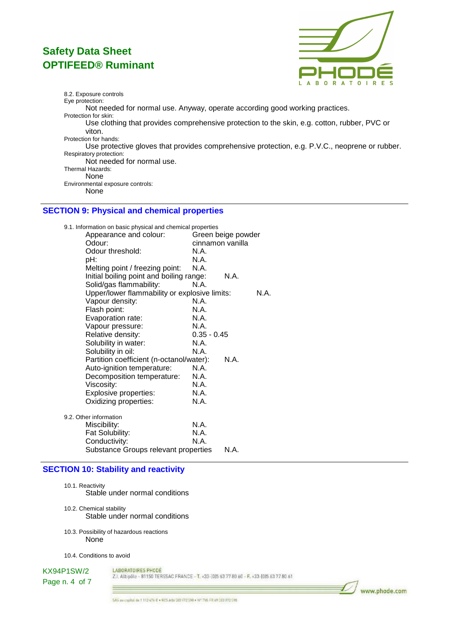

www.phode.com

8.2. Exposure controls Eye protection: Not needed for normal use. Anyway, operate according good working practices. Protection for skin: Use clothing that provides comprehensive protection to the skin, e.g. cotton, rubber, PVC or viton. Protection for hands: Use protective gloves that provides comprehensive protection, e.g. P.V.C., neoprene or rubber. Respiratory protection: Not needed for normal use. Thermal Hazards: None Environmental exposure controls: None

### **SECTION 9: Physical and chemical properties**

| 9.1. Information on basic physical and chemical properties |                  |                    |  |
|------------------------------------------------------------|------------------|--------------------|--|
| Appearance and colour:                                     |                  | Green beige powder |  |
| Odour:                                                     | cinnamon vanilla |                    |  |
| Odour threshold:                                           | N.A.             |                    |  |
| pH:                                                        | N.A.             |                    |  |
| Melting point / freezing point:                            | N.A.             |                    |  |
| Initial boiling point and boiling range:                   |                  | N.A.               |  |
| Solid/gas flammability:                                    | N.A.             |                    |  |
| Upper/lower flammability or explosive limits:<br>N.A.      |                  |                    |  |
| Vapour density:                                            | N.A.             |                    |  |
| Flash point:                                               | N.A.             |                    |  |
| Evaporation rate:                                          | N.A.             |                    |  |
| Vapour pressure:                                           | N.A.             |                    |  |
| Relative density:                                          | $0.35 - 0.45$    |                    |  |
| Solubility in water:                                       | N.A.             |                    |  |
| Solubility in oil:                                         | N.A.             |                    |  |
| Partition coefficient (n-octanol/water):<br>N.A.           |                  |                    |  |
| Auto-ignition temperature:                                 | N.A.             |                    |  |
| Decomposition temperature:                                 | N.A.             |                    |  |
| Viscosity:                                                 | N.A.             |                    |  |
| Explosive properties:                                      | N.A.             |                    |  |
| Oxidizing properties:                                      | N.A.             |                    |  |
| 9.2. Other information                                     |                  |                    |  |
| Miscibility:                                               | N.A.             |                    |  |
| Fat Solubility:                                            | N.A.             |                    |  |
| Conductivity:                                              | N.A.             |                    |  |
| Substance Groups relevant properties                       |                  | N.A.               |  |
|                                                            |                  |                    |  |

#### **SECTION 10: Stability and reactivity**

- 10.1. Reactivity Stable under normal conditions
- 10.2. Chemical stability Stable under normal conditions
- 10.3. Possibility of hazardous reactions None

 $=$ 

10.4. Conditions to avoid

### KX94P1SW/2

LABORATOIRES PHODE Z.I. Albipôle - 81150 TERSSAC FRANCE - T. +33-(0)5 63 77 80 60 - F. +33-(0)5 63 77 80 61

Page n. 4 of 7

5A5 av capital de 1 112 474 € + 605 Athi 503 772 598 + Nº TVA FR 49 303 772 598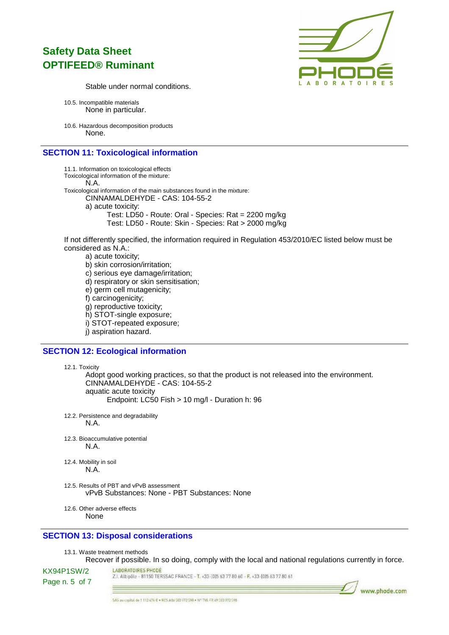

Stable under normal conditions.

10.5. Incompatible materials None in particular.

10.6. Hazardous decomposition products None.

### **SECTION 11: Toxicological information**

11.1. Information on toxicological effects Toxicological information of the mixture: N.A. Toxicological information of the main substances found in the mixture: CINNAMALDEHYDE - CAS: 104-55-2 a) acute toxicity: Test: LD50 - Route: Oral - Species: Rat = 2200 mg/kg Test: LD50 - Route: Skin - Species: Rat > 2000 mg/kg

If not differently specified, the information required in Regulation 453/2010/EC listed below must be considered as N.A.:

a) acute toxicity; b) skin corrosion/irritation; c) serious eye damage/irritation; d) respiratory or skin sensitisation; e) germ cell mutagenicity; f) carcinogenicity; g) reproductive toxicity; h) STOT-single exposure; i) STOT-repeated exposure; j) aspiration hazard.

#### **SECTION 12: Ecological information**

12.1. Toxicity

Adopt good working practices, so that the product is not released into the environment. CINNAMALDEHYDE - CAS: 104-55-2 aquatic acute toxicity Endpoint: LC50 Fish > 10 mg/l - Duration h: 96

- 12.2. Persistence and degradability N.A.
- 12.3. Bioaccumulative potential N.A.
- 12.4. Mobility in soil N.A.
- 12.5. Results of PBT and vPvB assessment vPvB Substances: None - PBT Substances: None
- 12.6. Other adverse effects None

#### **SECTION 13: Disposal considerations**

13.1. Waste treatment methods Recover if possible. In so doing, comply with the local and national regulations currently in force.

#### LABORATOIRES PHODE

Z.I. Albipôle - 81150 TERSSAC FRANCE - T. +33-1015 63 77 80 60 - F. +33-1015 63 77 80 61

KX94P1SW/2 Page n. 5 of 7

SAS av capital de 1 112 474 € + 605 Athi 503 772 598 + Nº TVA FR 49 303 772 598

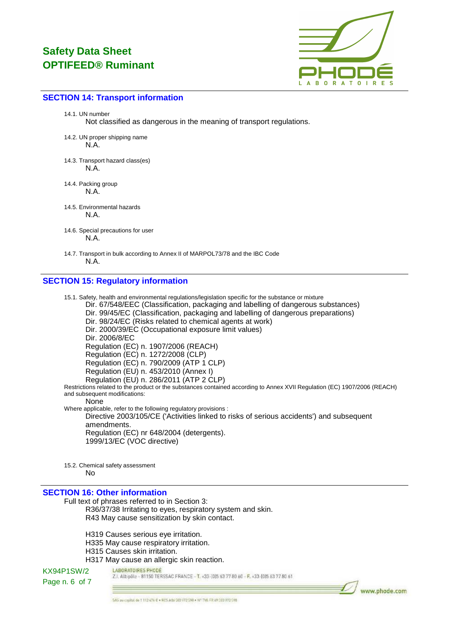

#### **SECTION 14: Transport information**

14.1. UN number

Not classified as dangerous in the meaning of transport regulations.

- 14.2. UN proper shipping name N.A.
- 14.3. Transport hazard class(es) N.A.
- 14.4. Packing group N.A.
- 14.5. Environmental hazards N.A.
- 14.6. Special precautions for user N.A.
- 14.7. Transport in bulk according to Annex II of MARPOL73/78 and the IBC Code N.A.

### **SECTION 15: Regulatory information**

15.1. Safety, health and environmental regulations/legislation specific for the substance or mixture Dir. 67/548/EEC (Classification, packaging and labelling of dangerous substances) Dir. 99/45/EC (Classification, packaging and labelling of dangerous preparations) Dir. 98/24/EC (Risks related to chemical agents at work) Dir. 2000/39/EC (Occupational exposure limit values) Dir. 2006/8/EC Regulation (EC) n. 1907/2006 (REACH) Regulation (EC) n. 1272/2008 (CLP) Regulation  $(EC)$  n. 790/2009  $(ATP 1 CLP)$ Regulation (EU) n. 453/2010 (Annex I) Regulation (EU) n. 286/2011 (ATP 2 CLP) Restrictions related to the product or the substances contained according to Annex XVII Regulation (EC) 1907/2006 (REACH) and subsequent modifications: None Where applicable, refer to the following regulatory provisions : Directive 2003/105/CE ('Activities linked to risks of serious accidents') and subsequent amendments. Regulation (EC) nr 648/2004 (detergents). 1999/13/EC (VOC directive)

15.2. Chemical safety assessment No

#### **SECTION 16: Other information**

Full text of phrases referred to in Section 3:

R36/37/38 Irritating to eyes, respiratory system and skin. R43 May cause sensitization by skin contact.

H319 Causes serious eye irritation.

- H335 May cause respiratory irritation.
- H315 Causes skin irritation.

LABORATOIRES PHODE

H317 May cause an allergic skin reaction.

KX94P1SW/2

Z.I. Albipôle - 81150 TERSSAC FRANCE - T. +33-(0)5 63 77 80 60 - F. +33-(0)5 63 77 80 61

Page n. 6 of 7